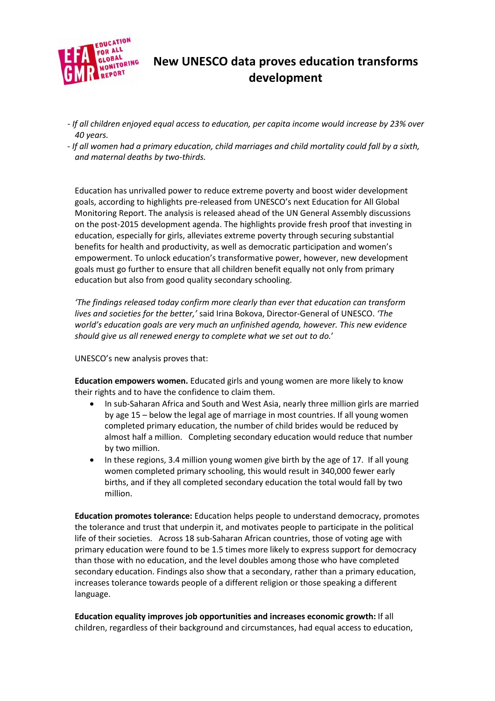

## **New UNESCO data proves education transforms development**

- *- If all children enjoyed equal access to education, per capita income would increase by 23% over 40 years.*
- *- If all women had a primary education, child marriages and child mortality could fall by a sixth, and maternal deaths by two-thirds.*

Education has unrivalled power to reduce extreme poverty and boost wider development goals, according to highlights pre-released from UNESCO's next Education for All Global Monitoring Report. The analysis is released ahead of the UN General Assembly discussions on the post-2015 development agenda. The highlights provide fresh proof that investing in education, especially for girls, alleviates extreme poverty through securing substantial benefits for health and productivity, as well as democratic participation and women's empowerment. To unlock education's transformative power, however, new development goals must go further to ensure that all children benefit equally not only from primary education but also from good quality secondary schooling.

*'The findings released today confirm more clearly than ever that education can transform lives and societies for the better,'* said Irina Bokova, Director-General of UNESCO. *'The world's education goals are very much an unfinished agenda, however. This new evidence should give us all renewed energy to complete what we set out to do.*'

UNESCO's new analysis proves that:

**Education empowers women.** Educated girls and young women are more likely to know their rights and to have the confidence to claim them.

- In sub-Saharan Africa and South and West Asia, nearly three million girls are married by age 15 – below the legal age of marriage in most countries. If all young women completed primary education, the number of child brides would be reduced by almost half a million. Completing secondary education would reduce that number by two million.
- In these regions, 3.4 million young women give birth by the age of 17. If all young women completed primary schooling, this would result in 340,000 fewer early births, and if they all completed secondary education the total would fall by two million.

**Education promotes tolerance:** Education helps people to understand democracy, promotes the tolerance and trust that underpin it, and motivates people to participate in the political life of their societies. Across 18 sub-Saharan African countries, those of voting age with primary education were found to be 1.5 times more likely to express support for democracy than those with no education, and the level doubles among those who have completed secondary education. Findings also show that a secondary, rather than a primary education, increases tolerance towards people of a different religion or those speaking a different language.

**Education equality improves job opportunities and increases economic growth:** If all children, regardless of their background and circumstances, had equal access to education,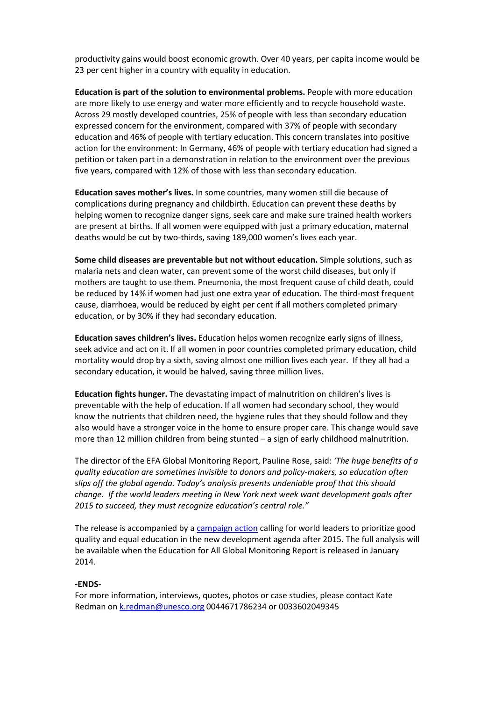productivity gains would boost economic growth. Over 40 years, per capita income would be 23 per cent higher in a country with equality in education.

**Education is part of the solution to environmental problems.** People with more education are more likely to use energy and water more efficiently and to recycle household waste. Across 29 mostly developed countries, 25% of people with less than secondary education expressed concern for the environment, compared with 37% of people with secondary education and 46% of people with tertiary education. This concern translates into positive action for the environment: In Germany, 46% of people with tertiary education had signed a petition or taken part in a demonstration in relation to the environment over the previous five years, compared with 12% of those with less than secondary education.

**Education saves mother's lives.** In some countries, many women still die because of complications during pregnancy and childbirth. Education can prevent these deaths by helping women to recognize danger signs, seek care and make sure trained health workers are present at births. If all women were equipped with just a primary education, maternal deaths would be cut by two-thirds, saving 189,000 women's lives each year.

**Some child diseases are preventable but not without education.** Simple solutions, such as malaria nets and clean water, can prevent some of the worst child diseases, but only if mothers are taught to use them. Pneumonia, the most frequent cause of child death, could be reduced by 14% if women had just one extra year of education. The third-most frequent cause, diarrhoea, would be reduced by eight per cent if all mothers completed primary education, or by 30% if they had secondary education.

**Education saves children's lives.** Education helps women recognize early signs of illness, seek advice and act on it. If all women in poor countries completed primary education, child mortality would drop by a sixth, saving almost one million lives each year. If they all had a secondary education, it would be halved, saving three million lives.

**Education fights hunger.** The devastating impact of malnutrition on children's lives is preventable with the help of education. If all women had secondary school, they would know the nutrients that children need, the hygiene rules that they should follow and they also would have a stronger voice in the home to ensure proper care. This change would save more than 12 million children from being stunted – a sign of early childhood malnutrition.

The director of the EFA Global Monitoring Report, Pauline Rose, said: *'The huge benefits of a quality education are sometimes invisible to donors and policy-makers, so education often slips off the global agenda. Today's analysis presents undeniable proof that this should change. If the world leaders meeting in New York next week want development goals after 2015 to succeed, they must recognize education's central role."*

The release is accompanied by [a campaign action](http://www.education-transforms.org/en/) calling for world leaders to prioritize good quality and equal education in the new development agenda after 2015. The full analysis will be available when the Education for All Global Monitoring Report is released in January 2014.

## **-ENDS-**

For more information, interviews, quotes, photos or case studies, please contact Kate Redman o[n k.redman@unesco.org](mailto:k.redman@unesco.org) 0044671786234 or 0033602049345